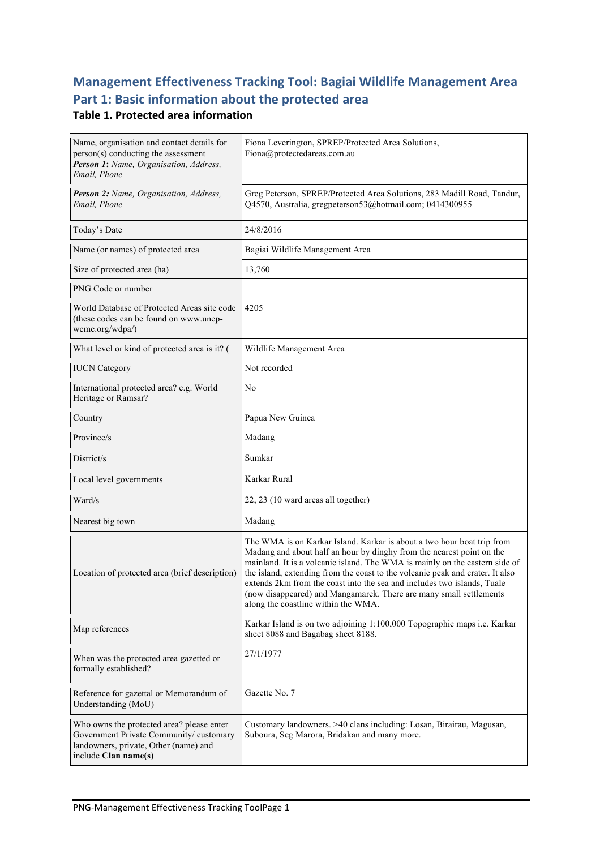# **Management Effectiveness Tracking Tool: Bagiai Wildlife Management Area** Part 1: Basic information about the protected area

#### **Table 1. Protected area information**

| Name, organisation and contact details for<br>person(s) conducting the assessment<br>Person 1: Name, Organisation, Address,<br>Email, Phone          | Fiona Leverington, SPREP/Protected Area Solutions,<br>Fiona@protectedareas.com.au                                                                                                                                                                                                                                                                                                                                                                                                                       |  |
|------------------------------------------------------------------------------------------------------------------------------------------------------|---------------------------------------------------------------------------------------------------------------------------------------------------------------------------------------------------------------------------------------------------------------------------------------------------------------------------------------------------------------------------------------------------------------------------------------------------------------------------------------------------------|--|
| Person 2: Name, Organisation, Address,<br>Email, Phone                                                                                               | Greg Peterson, SPREP/Protected Area Solutions, 283 Madill Road, Tandur,<br>Q4570, Australia, gregpeterson53@hotmail.com; 0414300955                                                                                                                                                                                                                                                                                                                                                                     |  |
| Today's Date                                                                                                                                         | 24/8/2016                                                                                                                                                                                                                                                                                                                                                                                                                                                                                               |  |
| Name (or names) of protected area                                                                                                                    | Bagiai Wildlife Management Area                                                                                                                                                                                                                                                                                                                                                                                                                                                                         |  |
| Size of protected area (ha)                                                                                                                          | 13,760                                                                                                                                                                                                                                                                                                                                                                                                                                                                                                  |  |
| PNG Code or number                                                                                                                                   |                                                                                                                                                                                                                                                                                                                                                                                                                                                                                                         |  |
| World Database of Protected Areas site code<br>(these codes can be found on www.unep-<br>wcmc.org/wdpa/)                                             | 4205                                                                                                                                                                                                                                                                                                                                                                                                                                                                                                    |  |
| What level or kind of protected area is it? (                                                                                                        | Wildlife Management Area                                                                                                                                                                                                                                                                                                                                                                                                                                                                                |  |
| <b>IUCN</b> Category                                                                                                                                 | Not recorded                                                                                                                                                                                                                                                                                                                                                                                                                                                                                            |  |
| International protected area? e.g. World<br>Heritage or Ramsar?                                                                                      | No                                                                                                                                                                                                                                                                                                                                                                                                                                                                                                      |  |
| Country                                                                                                                                              | Papua New Guinea                                                                                                                                                                                                                                                                                                                                                                                                                                                                                        |  |
| Province/s                                                                                                                                           | Madang                                                                                                                                                                                                                                                                                                                                                                                                                                                                                                  |  |
| District/s                                                                                                                                           | Sumkar                                                                                                                                                                                                                                                                                                                                                                                                                                                                                                  |  |
| Local level governments                                                                                                                              | Karkar Rural                                                                                                                                                                                                                                                                                                                                                                                                                                                                                            |  |
| Ward/s                                                                                                                                               | 22, 23 (10 ward areas all together)                                                                                                                                                                                                                                                                                                                                                                                                                                                                     |  |
| Nearest big town                                                                                                                                     | Madang                                                                                                                                                                                                                                                                                                                                                                                                                                                                                                  |  |
| Location of protected area (brief description)                                                                                                       | The WMA is on Karkar Island. Karkar is about a two hour boat trip from<br>Madang and about half an hour by dinghy from the nearest point on the<br>mainland. It is a volcanic island. The WMA is mainly on the eastern side of<br>the island, extending from the coast to the volcanic peak and crater. It also<br>extends 2km from the coast into the sea and includes two islands. Tuale<br>(now disappeared) and Mangamarek. There are many small settlements<br>along the coastline within the WMA. |  |
| Map references                                                                                                                                       | Karkar Island is on two adjoining 1:100,000 Topographic maps i.e. Karkar<br>sheet 8088 and Bagabag sheet 8188.                                                                                                                                                                                                                                                                                                                                                                                          |  |
| When was the protected area gazetted or<br>formally established?                                                                                     | 27/1/1977                                                                                                                                                                                                                                                                                                                                                                                                                                                                                               |  |
| Reference for gazettal or Memorandum of<br>Understanding (MoU)                                                                                       | Gazette No. 7                                                                                                                                                                                                                                                                                                                                                                                                                                                                                           |  |
| Who owns the protected area? please enter<br>Government Private Community/customary<br>landowners, private, Other (name) and<br>include Clan name(s) | Customary landowners. >40 clans including: Losan, Birairau, Magusan,<br>Suboura, Seg Marora, Bridakan and many more.                                                                                                                                                                                                                                                                                                                                                                                    |  |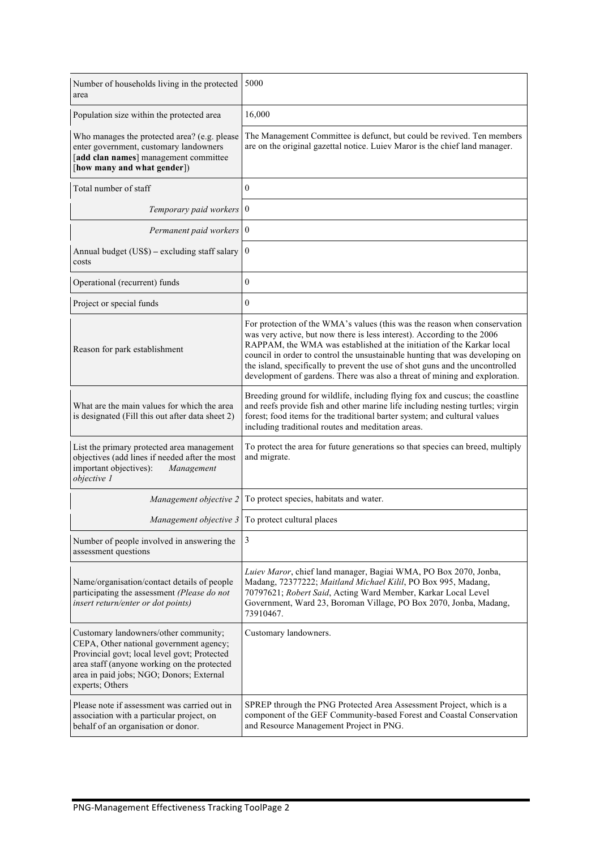| Number of households living in the protected<br>area                                                                                                                                                                                           | 5000                                                                                                                                                                                                                                                                                                                                                                                                                                                                         |
|------------------------------------------------------------------------------------------------------------------------------------------------------------------------------------------------------------------------------------------------|------------------------------------------------------------------------------------------------------------------------------------------------------------------------------------------------------------------------------------------------------------------------------------------------------------------------------------------------------------------------------------------------------------------------------------------------------------------------------|
| Population size within the protected area                                                                                                                                                                                                      | 16,000                                                                                                                                                                                                                                                                                                                                                                                                                                                                       |
| Who manages the protected area? (e.g. please<br>enter government, customary landowners<br>[add clan names] management committee<br>[how many and what gender])                                                                                 | The Management Committee is defunct, but could be revived. Ten members<br>are on the original gazettal notice. Luiev Maror is the chief land manager.                                                                                                                                                                                                                                                                                                                        |
| Total number of staff                                                                                                                                                                                                                          | $\theta$                                                                                                                                                                                                                                                                                                                                                                                                                                                                     |
| Temporary paid workers                                                                                                                                                                                                                         | $\bf{0}$                                                                                                                                                                                                                                                                                                                                                                                                                                                                     |
| Permanent paid workers 0                                                                                                                                                                                                                       |                                                                                                                                                                                                                                                                                                                                                                                                                                                                              |
| Annual budget (US\$) - excluding staff salary<br>costs                                                                                                                                                                                         | $\mathbf{0}$                                                                                                                                                                                                                                                                                                                                                                                                                                                                 |
| Operational (recurrent) funds                                                                                                                                                                                                                  | $\mathbf{0}$                                                                                                                                                                                                                                                                                                                                                                                                                                                                 |
| Project or special funds                                                                                                                                                                                                                       | $\overline{0}$                                                                                                                                                                                                                                                                                                                                                                                                                                                               |
| Reason for park establishment                                                                                                                                                                                                                  | For protection of the WMA's values (this was the reason when conservation<br>was very active, but now there is less interest). According to the 2006<br>RAPPAM, the WMA was established at the initiation of the Karkar local<br>council in order to control the unsustainable hunting that was developing on<br>the island, specifically to prevent the use of shot guns and the uncontrolled<br>development of gardens. There was also a threat of mining and exploration. |
| What are the main values for which the area<br>is designated (Fill this out after data sheet 2)                                                                                                                                                | Breeding ground for wildlife, including flying fox and cuscus; the coastline<br>and reefs provide fish and other marine life including nesting turtles; virgin<br>forest; food items for the traditional barter system; and cultural values<br>including traditional routes and meditation areas.                                                                                                                                                                            |
| List the primary protected area management<br>objectives (add lines if needed after the most<br>important objectives):<br>Management<br>objective 1                                                                                            | To protect the area for future generations so that species can breed, multiply<br>and migrate.                                                                                                                                                                                                                                                                                                                                                                               |
| Management objective 2                                                                                                                                                                                                                         | To protect species, habitats and water.                                                                                                                                                                                                                                                                                                                                                                                                                                      |
|                                                                                                                                                                                                                                                | <i>Management objective</i> $3$ To protect cultural places                                                                                                                                                                                                                                                                                                                                                                                                                   |
| Number of people involved in answering the<br>assessment questions                                                                                                                                                                             | 3                                                                                                                                                                                                                                                                                                                                                                                                                                                                            |
| Name/organisation/contact details of people<br>participating the assessment (Please do not<br>insert return/enter or dot points)                                                                                                               | Luiev Maror, chief land manager, Bagiai WMA, PO Box 2070, Jonba,<br>Madang, 72377222; Maitland Michael Kilil, PO Box 995, Madang,<br>70797621; Robert Said, Acting Ward Member, Karkar Local Level<br>Government, Ward 23, Boroman Village, PO Box 2070, Jonba, Madang,<br>73910467.                                                                                                                                                                                         |
| Customary landowners/other community;<br>CEPA, Other national government agency;<br>Provincial govt; local level govt; Protected<br>area staff (anyone working on the protected<br>area in paid jobs; NGO; Donors; External<br>experts; Others | Customary landowners.                                                                                                                                                                                                                                                                                                                                                                                                                                                        |
| Please note if assessment was carried out in<br>association with a particular project, on<br>behalf of an organisation or donor.                                                                                                               | SPREP through the PNG Protected Area Assessment Project, which is a<br>component of the GEF Community-based Forest and Coastal Conservation<br>and Resource Management Project in PNG.                                                                                                                                                                                                                                                                                       |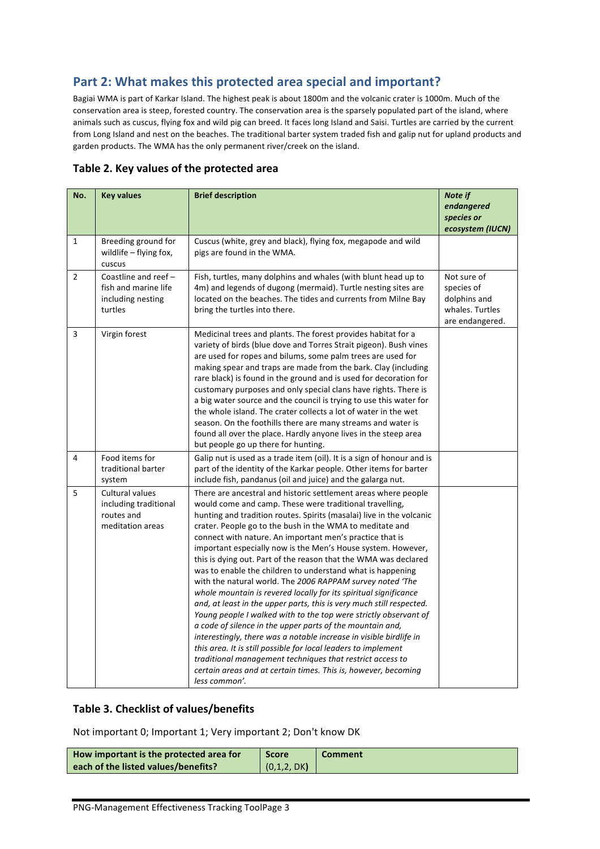## Part 2: What makes this protected area special and important?

Bagiai WMA is part of Karkar Island. The highest peak is about 1800m and the volcanic crater is 1000m. Much of the conservation area is steep, forested country. The conservation area is the sparsely populated part of the island, where animals such as cuscus, flying fox and wild pig can breed. It faces long Island and Saisi. Turtles are carried by the current from Long Island and nest on the beaches. The traditional barter system traded fish and galip nut for upland products and garden products. The WMA has the only permanent river/creek on the island.

|  |  |  | Table 2. Key values of the protected area |  |
|--|--|--|-------------------------------------------|--|
|--|--|--|-------------------------------------------|--|

| No.            | <b>Key values</b>                                                              | <b>Brief description</b>                                                                                                                                                                                                                                                                                                                                                                                                                                                                                                                                                                                                                                                                                                                                                                                                                                                                                                                                                                                                                                                                                                                                     | Note if<br>endangered<br>species or                                             |
|----------------|--------------------------------------------------------------------------------|--------------------------------------------------------------------------------------------------------------------------------------------------------------------------------------------------------------------------------------------------------------------------------------------------------------------------------------------------------------------------------------------------------------------------------------------------------------------------------------------------------------------------------------------------------------------------------------------------------------------------------------------------------------------------------------------------------------------------------------------------------------------------------------------------------------------------------------------------------------------------------------------------------------------------------------------------------------------------------------------------------------------------------------------------------------------------------------------------------------------------------------------------------------|---------------------------------------------------------------------------------|
|                |                                                                                |                                                                                                                                                                                                                                                                                                                                                                                                                                                                                                                                                                                                                                                                                                                                                                                                                                                                                                                                                                                                                                                                                                                                                              | ecosystem (IUCN)                                                                |
| $\mathbf{1}$   | Breeding ground for<br>wildlife - flying fox,<br>cuscus                        | Cuscus (white, grey and black), flying fox, megapode and wild<br>pigs are found in the WMA.                                                                                                                                                                                                                                                                                                                                                                                                                                                                                                                                                                                                                                                                                                                                                                                                                                                                                                                                                                                                                                                                  |                                                                                 |
| $\overline{2}$ | Coastline and reef $-$<br>fish and marine life<br>including nesting<br>turtles | Fish, turtles, many dolphins and whales (with blunt head up to<br>4m) and legends of dugong (mermaid). Turtle nesting sites are<br>located on the beaches. The tides and currents from Milne Bay<br>bring the turtles into there.                                                                                                                                                                                                                                                                                                                                                                                                                                                                                                                                                                                                                                                                                                                                                                                                                                                                                                                            | Not sure of<br>species of<br>dolphins and<br>whales. Turtles<br>are endangered. |
| 3              | Virgin forest                                                                  | Medicinal trees and plants. The forest provides habitat for a<br>variety of birds (blue dove and Torres Strait pigeon). Bush vines<br>are used for ropes and bilums, some palm trees are used for<br>making spear and traps are made from the bark. Clay (including<br>rare black) is found in the ground and is used for decoration for<br>customary purposes and only special clans have rights. There is<br>a big water source and the council is trying to use this water for<br>the whole island. The crater collects a lot of water in the wet<br>season. On the foothills there are many streams and water is<br>found all over the place. Hardly anyone lives in the steep area<br>but people go up there for hunting.                                                                                                                                                                                                                                                                                                                                                                                                                               |                                                                                 |
| 4              | Food items for<br>traditional barter<br>system                                 | Galip nut is used as a trade item (oil). It is a sign of honour and is<br>part of the identity of the Karkar people. Other items for barter<br>include fish, pandanus (oil and juice) and the galarga nut.                                                                                                                                                                                                                                                                                                                                                                                                                                                                                                                                                                                                                                                                                                                                                                                                                                                                                                                                                   |                                                                                 |
| 5              | Cultural values<br>including traditional<br>routes and<br>meditation areas     | There are ancestral and historic settlement areas where people<br>would come and camp. These were traditional travelling,<br>hunting and tradition routes. Spirits (masalai) live in the volcanic<br>crater. People go to the bush in the WMA to meditate and<br>connect with nature. An important men's practice that is<br>important especially now is the Men's House system. However,<br>this is dying out. Part of the reason that the WMA was declared<br>was to enable the children to understand what is happening<br>with the natural world. The 2006 RAPPAM survey noted 'The<br>whole mountain is revered locally for its spiritual significance<br>and, at least in the upper parts, this is very much still respected.<br>Young people I walked with to the top were strictly observant of<br>a code of silence in the upper parts of the mountain and,<br>interestingly, there was a notable increase in visible birdlife in<br>this area. It is still possible for local leaders to implement<br>traditional management techniques that restrict access to<br>certain areas and at certain times. This is, however, becoming<br>less common'. |                                                                                 |

#### **Table 3. Checklist of values/benefits**

Not important O; Important 1; Very important 2; Don't know DK

| How important is the protected area for | <b>Score</b> | <b>Comment</b> |
|-----------------------------------------|--------------|----------------|
| each of the listed values/benefits?     | (0,1,2, DK)  |                |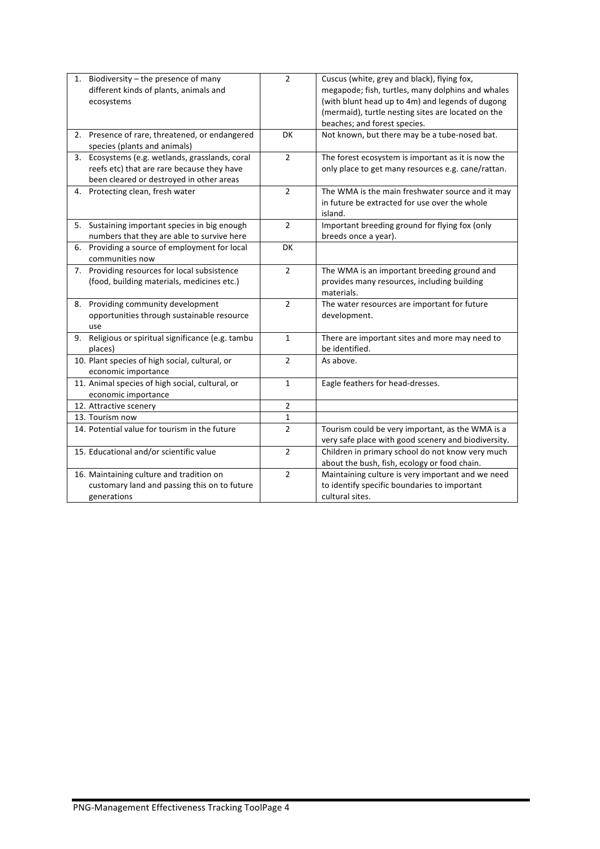| 1. | Biodiversity - the presence of many<br>different kinds of plants, animals and                                                             | $\overline{2}$ | Cuscus (white, grey and black), flying fox,<br>megapode; fish, turtles, many dolphins and whales                                       |
|----|-------------------------------------------------------------------------------------------------------------------------------------------|----------------|----------------------------------------------------------------------------------------------------------------------------------------|
|    | ecosystems                                                                                                                                |                | (with blunt head up to 4m) and legends of dugong<br>(mermaid), turtle nesting sites are located on the<br>beaches; and forest species. |
|    | 2. Presence of rare, threatened, or endangered<br>species (plants and animals)                                                            | DK             | Not known, but there may be a tube-nosed bat.                                                                                          |
|    | 3. Ecosystems (e.g. wetlands, grasslands, coral<br>reefs etc) that are rare because they have<br>been cleared or destroyed in other areas | $\overline{2}$ | The forest ecosystem is important as it is now the<br>only place to get many resources e.g. cane/rattan.                               |
|    | 4. Protecting clean, fresh water                                                                                                          | $\overline{2}$ | The WMA is the main freshwater source and it may<br>in future be extracted for use over the whole<br>island.                           |
| 5. | Sustaining important species in big enough<br>numbers that they are able to survive here                                                  | $\overline{2}$ | Important breeding ground for flying fox (only<br>breeds once a year).                                                                 |
|    | 6. Providing a source of employment for local<br>communities now                                                                          | <b>DK</b>      |                                                                                                                                        |
|    | 7. Providing resources for local subsistence<br>(food, building materials, medicines etc.)                                                | $\overline{2}$ | The WMA is an important breeding ground and<br>provides many resources, including building<br>materials.                               |
|    | 8. Providing community development<br>opportunities through sustainable resource<br>use                                                   | $\overline{2}$ | The water resources are important for future<br>development.                                                                           |
|    | 9. Religious or spiritual significance (e.g. tambu<br>places)                                                                             | $\mathbf{1}$   | There are important sites and more may need to<br>be identified.                                                                       |
|    | 10. Plant species of high social, cultural, or<br>economic importance                                                                     | $\overline{2}$ | As above.                                                                                                                              |
|    | 11. Animal species of high social, cultural, or<br>economic importance                                                                    | $\mathbf{1}$   | Eagle feathers for head-dresses.                                                                                                       |
|    | 12. Attractive scenery                                                                                                                    | $\overline{2}$ |                                                                                                                                        |
|    | 13. Tourism now                                                                                                                           | $\mathbf{1}$   |                                                                                                                                        |
|    | 14. Potential value for tourism in the future                                                                                             | $\overline{2}$ | Tourism could be very important, as the WMA is a<br>very safe place with good scenery and biodiversity.                                |
|    | 15. Educational and/or scientific value                                                                                                   | $\overline{2}$ | Children in primary school do not know very much<br>about the bush, fish, ecology or food chain.                                       |
|    | 16. Maintaining culture and tradition on<br>customary land and passing this on to future<br>generations                                   | $\overline{2}$ | Maintaining culture is very important and we need<br>to identify specific boundaries to important<br>cultural sites.                   |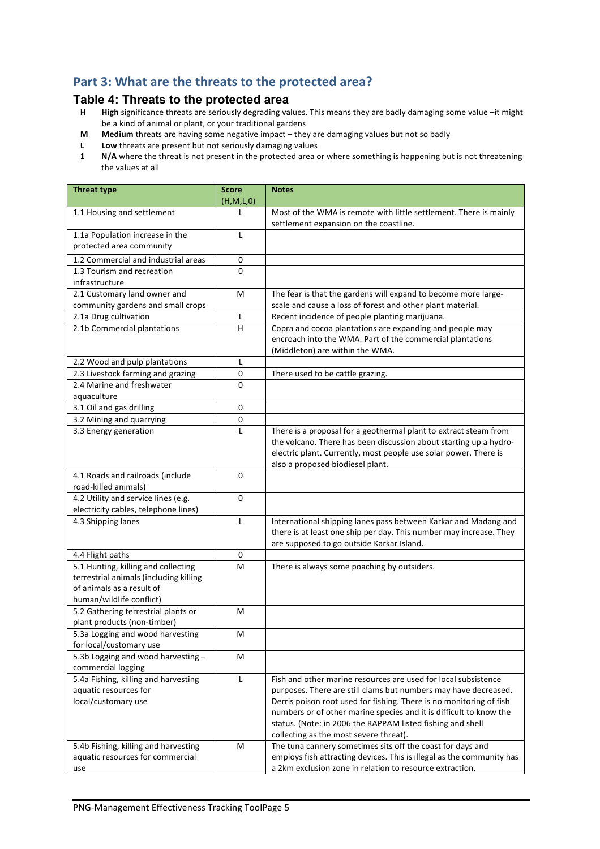### Part 3: What are the threats to the protected area?

#### **Table 4: Threats to the protected area**

- **H High** significance threats are seriously degrading values. This means they are badly damaging some value –it might be a kind of animal or plant, or your traditional gardens
- **M** Medium threats are having some negative impact they are damaging values but not so badly
- **L Low** threats are present but not seriously damaging values
- **1 N/A** where the threat is not present in the protected area or where something is happening but is not threatening the values at all

| <b>Threat type</b>                                                  | <b>Score</b><br>(H,M,L,0) | <b>Notes</b>                                                                                                                      |
|---------------------------------------------------------------------|---------------------------|-----------------------------------------------------------------------------------------------------------------------------------|
| 1.1 Housing and settlement                                          | L                         | Most of the WMA is remote with little settlement. There is mainly<br>settlement expansion on the coastline.                       |
| 1.1a Population increase in the<br>protected area community         | L                         |                                                                                                                                   |
| 1.2 Commercial and industrial areas                                 | 0                         |                                                                                                                                   |
| 1.3 Tourism and recreation                                          | 0                         |                                                                                                                                   |
| infrastructure                                                      |                           |                                                                                                                                   |
| 2.1 Customary land owner and                                        | м                         | The fear is that the gardens will expand to become more large-                                                                    |
| community gardens and small crops                                   |                           | scale and cause a loss of forest and other plant material.                                                                        |
| 2.1a Drug cultivation                                               | L                         | Recent incidence of people planting marijuana.                                                                                    |
| 2.1b Commercial plantations                                         | н                         | Copra and cocoa plantations are expanding and people may                                                                          |
|                                                                     |                           | encroach into the WMA. Part of the commercial plantations                                                                         |
|                                                                     |                           | (Middleton) are within the WMA.                                                                                                   |
| 2.2 Wood and pulp plantations                                       | L                         |                                                                                                                                   |
| 2.3 Livestock farming and grazing                                   | 0                         | There used to be cattle grazing.                                                                                                  |
| 2.4 Marine and freshwater                                           | 0                         |                                                                                                                                   |
| aquaculture                                                         |                           |                                                                                                                                   |
| 3.1 Oil and gas drilling                                            | 0                         |                                                                                                                                   |
| 3.2 Mining and quarrying                                            | 0                         |                                                                                                                                   |
| 3.3 Energy generation                                               | L                         | There is a proposal for a geothermal plant to extract steam from                                                                  |
|                                                                     |                           | the volcano. There has been discussion about starting up a hydro-                                                                 |
|                                                                     |                           | electric plant. Currently, most people use solar power. There is                                                                  |
|                                                                     |                           | also a proposed biodiesel plant.                                                                                                  |
| 4.1 Roads and railroads (include                                    | 0                         |                                                                                                                                   |
| road-killed animals)                                                |                           |                                                                                                                                   |
| 4.2 Utility and service lines (e.g.                                 | $\Omega$                  |                                                                                                                                   |
| electricity cables, telephone lines)                                |                           |                                                                                                                                   |
| 4.3 Shipping lanes                                                  | L                         | International shipping lanes pass between Karkar and Madang and                                                                   |
|                                                                     |                           | there is at least one ship per day. This number may increase. They                                                                |
|                                                                     |                           | are supposed to go outside Karkar Island.                                                                                         |
| 4.4 Flight paths                                                    | $\pmb{0}$                 |                                                                                                                                   |
| 5.1 Hunting, killing and collecting                                 | M                         | There is always some poaching by outsiders.                                                                                       |
| terrestrial animals (including killing<br>of animals as a result of |                           |                                                                                                                                   |
| human/wildlife conflict)                                            |                           |                                                                                                                                   |
| 5.2 Gathering terrestrial plants or                                 | м                         |                                                                                                                                   |
| plant products (non-timber)                                         |                           |                                                                                                                                   |
| 5.3a Logging and wood harvesting                                    | м                         |                                                                                                                                   |
| for local/customary use                                             |                           |                                                                                                                                   |
| 5.3b Logging and wood harvesting -                                  | M                         |                                                                                                                                   |
| commercial logging                                                  |                           |                                                                                                                                   |
| 5.4a Fishing, killing and harvesting                                | L                         | Fish and other marine resources are used for local subsistence                                                                    |
| aquatic resources for                                               |                           | purposes. There are still clams but numbers may have decreased.                                                                   |
| local/customary use                                                 |                           | Derris poison root used for fishing. There is no monitoring of fish                                                               |
|                                                                     |                           | numbers or of other marine species and it is difficult to know the                                                                |
|                                                                     |                           | status. (Note: in 2006 the RAPPAM listed fishing and shell                                                                        |
|                                                                     |                           | collecting as the most severe threat).                                                                                            |
| 5.4b Fishing, killing and harvesting                                | M                         | The tuna cannery sometimes sits off the coast for days and                                                                        |
| aquatic resources for commercial<br>use                             |                           | employs fish attracting devices. This is illegal as the community has<br>a 2km exclusion zone in relation to resource extraction. |
|                                                                     |                           |                                                                                                                                   |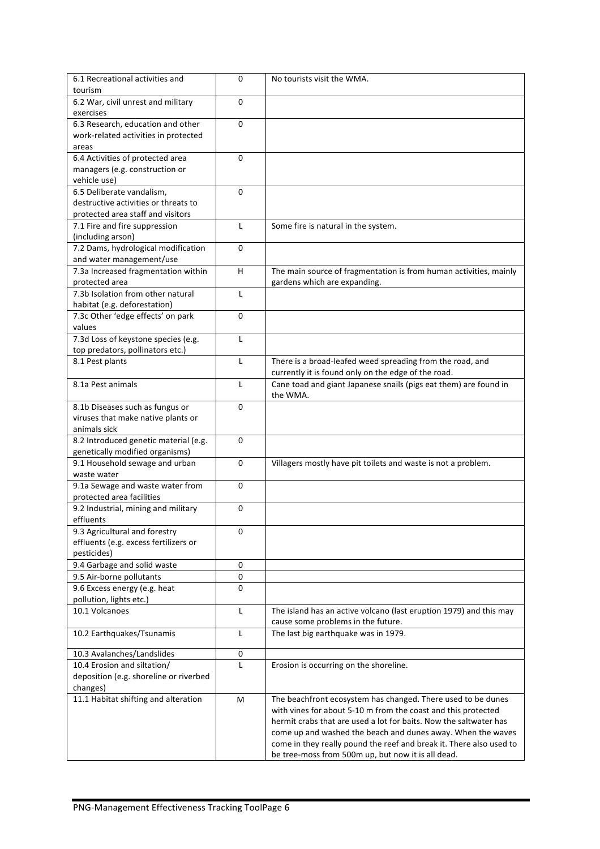| 6.1 Recreational activities and                         | 0           | No tourists visit the WMA.                                          |
|---------------------------------------------------------|-------------|---------------------------------------------------------------------|
| tourism                                                 |             |                                                                     |
| 6.2 War, civil unrest and military                      | 0           |                                                                     |
| exercises                                               |             |                                                                     |
| 6.3 Research, education and other                       | $\mathbf 0$ |                                                                     |
| work-related activities in protected                    |             |                                                                     |
| areas                                                   |             |                                                                     |
| 6.4 Activities of protected area                        | 0           |                                                                     |
| managers (e.g. construction or                          |             |                                                                     |
| vehicle use)<br>6.5 Deliberate vandalism,               | 0           |                                                                     |
| destructive activities or threats to                    |             |                                                                     |
| protected area staff and visitors                       |             |                                                                     |
| 7.1 Fire and fire suppression                           | L           | Some fire is natural in the system.                                 |
| (including arson)                                       |             |                                                                     |
| 7.2 Dams, hydrological modification                     | 0           |                                                                     |
| and water management/use                                |             |                                                                     |
| 7.3a Increased fragmentation within                     | H           | The main source of fragmentation is from human activities, mainly   |
| protected area                                          |             | gardens which are expanding.                                        |
| 7.3b Isolation from other natural                       | L           |                                                                     |
| habitat (e.g. deforestation)                            |             |                                                                     |
| 7.3c Other 'edge effects' on park                       | 0           |                                                                     |
| values                                                  |             |                                                                     |
| 7.3d Loss of keystone species (e.g.                     | L           |                                                                     |
| top predators, pollinators etc.)                        |             |                                                                     |
| 8.1 Pest plants                                         | L           | There is a broad-leafed weed spreading from the road, and           |
|                                                         |             | currently it is found only on the edge of the road.                 |
| 8.1a Pest animals                                       | L           | Cane toad and giant Japanese snails (pigs eat them) are found in    |
|                                                         |             | the WMA.                                                            |
| 8.1b Diseases such as fungus or                         | 0           |                                                                     |
| viruses that make native plants or                      |             |                                                                     |
| animals sick                                            |             |                                                                     |
| 8.2 Introduced genetic material (e.g.                   | 0           |                                                                     |
| genetically modified organisms)                         |             |                                                                     |
| 9.1 Household sewage and urban                          | 0           | Villagers mostly have pit toilets and waste is not a problem.       |
| waste water                                             |             |                                                                     |
| 9.1a Sewage and waste water from                        | 0           |                                                                     |
| protected area facilities                               |             |                                                                     |
| 9.2 Industrial, mining and military                     | 0           |                                                                     |
| effluents                                               |             |                                                                     |
| 9.3 Agricultural and forestry                           | 0           |                                                                     |
| effluents (e.g. excess fertilizers or                   |             |                                                                     |
| pesticides)                                             |             |                                                                     |
| 9.4 Garbage and solid waste<br>9.5 Air-borne pollutants | 0<br>0      |                                                                     |
| 9.6 Excess energy (e.g. heat                            | 0           |                                                                     |
| pollution, lights etc.)                                 |             |                                                                     |
| 10.1 Volcanoes                                          | Г           | The island has an active volcano (last eruption 1979) and this may  |
|                                                         |             | cause some problems in the future.                                  |
| 10.2 Earthquakes/Tsunamis                               | L           | The last big earthquake was in 1979.                                |
|                                                         |             |                                                                     |
| 10.3 Avalanches/Landslides                              | 0           |                                                                     |
| 10.4 Erosion and siltation/                             | L           | Erosion is occurring on the shoreline.                              |
| deposition (e.g. shoreline or riverbed                  |             |                                                                     |
| changes)                                                |             |                                                                     |
| 11.1 Habitat shifting and alteration                    | М           | The beachfront ecosystem has changed. There used to be dunes        |
|                                                         |             | with vines for about 5-10 m from the coast and this protected       |
|                                                         |             | hermit crabs that are used a lot for baits. Now the saltwater has   |
|                                                         |             | come up and washed the beach and dunes away. When the waves         |
|                                                         |             | come in they really pound the reef and break it. There also used to |
|                                                         |             | be tree-moss from 500m up, but now it is all dead.                  |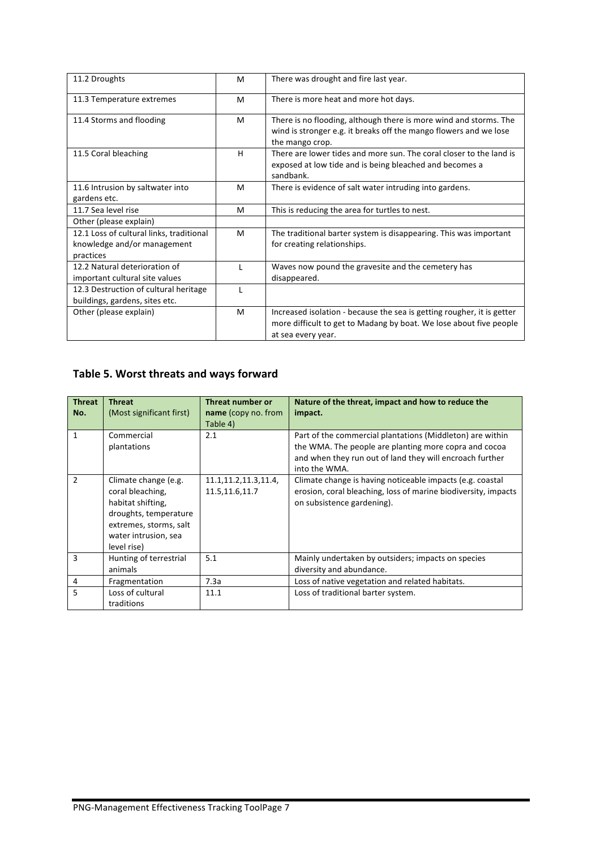| 11.2 Droughts                                                                        | M | There was drought and fire last year.                                                                                                                              |  |
|--------------------------------------------------------------------------------------|---|--------------------------------------------------------------------------------------------------------------------------------------------------------------------|--|
| 11.3 Temperature extremes                                                            | M | There is more heat and more hot days.                                                                                                                              |  |
| 11.4 Storms and flooding                                                             | M | There is no flooding, although there is more wind and storms. The<br>wind is stronger e.g. it breaks off the mango flowers and we lose<br>the mango crop.          |  |
| 11.5 Coral bleaching                                                                 | н | There are lower tides and more sun. The coral closer to the land is<br>exposed at low tide and is being bleached and becomes a<br>sandbank.                        |  |
| 11.6 Intrusion by saltwater into<br>gardens etc.                                     | M | There is evidence of salt water intruding into gardens.                                                                                                            |  |
| 11.7 Sea level rise                                                                  | M | This is reducing the area for turtles to nest.                                                                                                                     |  |
| Other (please explain)                                                               |   |                                                                                                                                                                    |  |
| 12.1 Loss of cultural links, traditional<br>knowledge and/or management<br>practices | M | The traditional barter system is disappearing. This was important<br>for creating relationships.                                                                   |  |
| 12.2 Natural deterioration of<br>important cultural site values                      |   | Waves now pound the gravesite and the cemetery has<br>disappeared.                                                                                                 |  |
| 12.3 Destruction of cultural heritage<br>buildings, gardens, sites etc.              |   |                                                                                                                                                                    |  |
| Other (please explain)                                                               | M | Increased isolation - because the sea is getting rougher, it is getter<br>more difficult to get to Madang by boat. We lose about five people<br>at sea every year. |  |

## Table 5. Worst threats and ways forward

| <b>Threat</b><br>No. | <b>Threat</b><br>(Most significant first)                                                                                                               | Threat number or<br><b>name</b> (copy no. from<br>Table 4) | Nature of the threat, impact and how to reduce the<br>impact.                                                                                                                                   |
|----------------------|---------------------------------------------------------------------------------------------------------------------------------------------------------|------------------------------------------------------------|-------------------------------------------------------------------------------------------------------------------------------------------------------------------------------------------------|
| 1                    | Commercial<br>plantations                                                                                                                               | 2.1                                                        | Part of the commercial plantations (Middleton) are within<br>the WMA. The people are planting more copra and cocoa<br>and when they run out of land they will encroach further<br>into the WMA. |
| $\mathfrak{p}$       | Climate change (e.g.<br>coral bleaching,<br>habitat shifting,<br>droughts, temperature<br>extremes, storms, salt<br>water intrusion, sea<br>level rise) | 11.1, 11.2, 11.3, 11.4,<br>11.5,11.6,11.7                  | Climate change is having noticeable impacts (e.g. coastal<br>erosion, coral bleaching, loss of marine biodiversity, impacts<br>on subsistence gardening).                                       |
| 3                    | Hunting of terrestrial<br>animals                                                                                                                       | 5.1                                                        | Mainly undertaken by outsiders; impacts on species<br>diversity and abundance.                                                                                                                  |
| 4                    | Fragmentation                                                                                                                                           | 7.3a                                                       | Loss of native vegetation and related habitats.                                                                                                                                                 |
| 5                    | Loss of cultural<br>traditions                                                                                                                          | 11.1                                                       | Loss of traditional barter system.                                                                                                                                                              |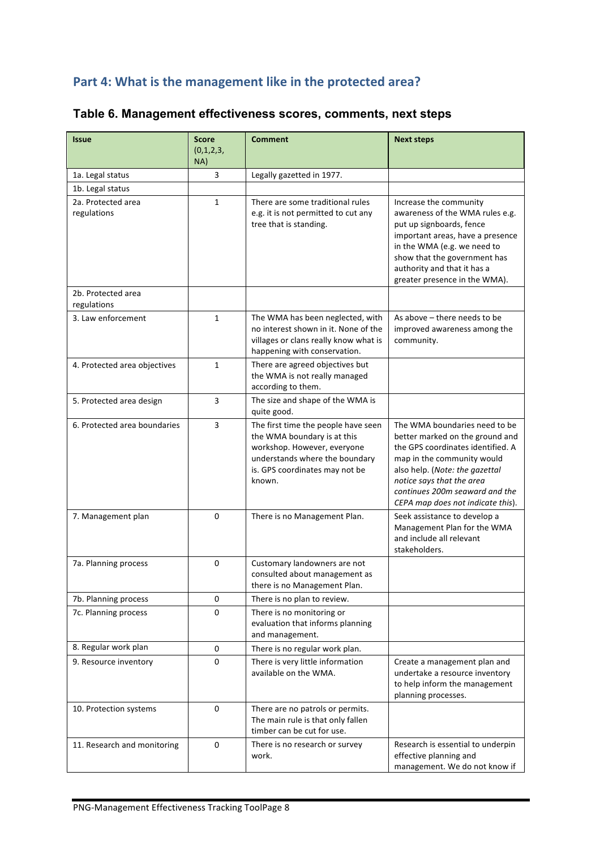## Part 4: What is the management like in the protected area?

| <b>Issue</b>                      | <b>Score</b><br>(0,1,2,3, | <b>Comment</b>                                                                                                                                                                  | <b>Next steps</b>                                                                                                                                                                                                                                                         |
|-----------------------------------|---------------------------|---------------------------------------------------------------------------------------------------------------------------------------------------------------------------------|---------------------------------------------------------------------------------------------------------------------------------------------------------------------------------------------------------------------------------------------------------------------------|
|                                   | NA)                       |                                                                                                                                                                                 |                                                                                                                                                                                                                                                                           |
| 1a. Legal status                  | 3                         | Legally gazetted in 1977.                                                                                                                                                       |                                                                                                                                                                                                                                                                           |
| 1b. Legal status                  |                           |                                                                                                                                                                                 |                                                                                                                                                                                                                                                                           |
| 2a. Protected area<br>regulations | $\mathbf{1}$              | There are some traditional rules<br>e.g. it is not permitted to cut any<br>tree that is standing.                                                                               | Increase the community<br>awareness of the WMA rules e.g.<br>put up signboards, fence<br>important areas, have a presence<br>in the WMA (e.g. we need to<br>show that the government has<br>authority and that it has a<br>greater presence in the WMA).                  |
| 2b. Protected area<br>regulations |                           |                                                                                                                                                                                 |                                                                                                                                                                                                                                                                           |
| 3. Law enforcement                | $\mathbf{1}$              | The WMA has been neglected, with<br>no interest shown in it. None of the<br>villages or clans really know what is<br>happening with conservation.                               | As above - there needs to be<br>improved awareness among the<br>community.                                                                                                                                                                                                |
| 4. Protected area objectives      | $\mathbf{1}$              | There are agreed objectives but<br>the WMA is not really managed<br>according to them.                                                                                          |                                                                                                                                                                                                                                                                           |
| 5. Protected area design          | 3                         | The size and shape of the WMA is<br>quite good.                                                                                                                                 |                                                                                                                                                                                                                                                                           |
| 6. Protected area boundaries      | 3                         | The first time the people have seen<br>the WMA boundary is at this<br>workshop. However, everyone<br>understands where the boundary<br>is. GPS coordinates may not be<br>known. | The WMA boundaries need to be<br>better marked on the ground and<br>the GPS coordinates identified. A<br>map in the community would<br>also help. (Note: the gazettal<br>notice says that the area<br>continues 200m seaward and the<br>CEPA map does not indicate this). |
| 7. Management plan                | 0                         | There is no Management Plan.                                                                                                                                                    | Seek assistance to develop a<br>Management Plan for the WMA<br>and include all relevant<br>stakeholders.                                                                                                                                                                  |
| 7a. Planning process              | 0                         | Customary landowners are not<br>consulted about management as<br>there is no Management Plan.                                                                                   |                                                                                                                                                                                                                                                                           |
| 7b. Planning process              | 0                         | There is no plan to review.                                                                                                                                                     |                                                                                                                                                                                                                                                                           |
| 7c. Planning process              | $\Omega$                  | There is no monitoring or<br>evaluation that informs planning<br>and management.                                                                                                |                                                                                                                                                                                                                                                                           |
| 8. Regular work plan              | $\mathbf 0$               | There is no regular work plan.                                                                                                                                                  |                                                                                                                                                                                                                                                                           |
| 9. Resource inventory             | 0                         | There is very little information<br>available on the WMA.                                                                                                                       | Create a management plan and<br>undertake a resource inventory<br>to help inform the management<br>planning processes.                                                                                                                                                    |
| 10. Protection systems            | 0                         | There are no patrols or permits.<br>The main rule is that only fallen<br>timber can be cut for use.                                                                             |                                                                                                                                                                                                                                                                           |
| 11. Research and monitoring       | 0                         | There is no research or survey<br>work.                                                                                                                                         | Research is essential to underpin<br>effective planning and<br>management. We do not know if                                                                                                                                                                              |

## **Table 6. Management effectiveness scores, comments, next steps**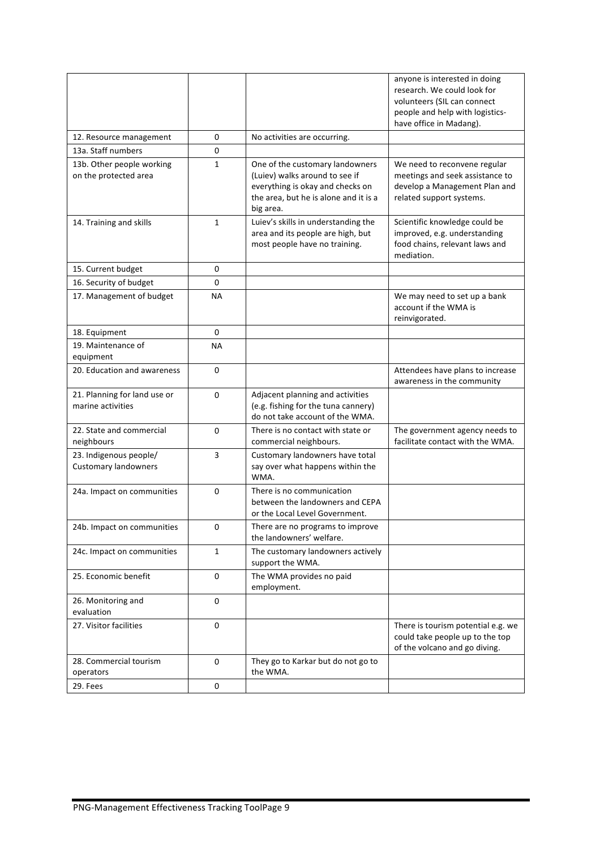|                                                       |              |                                                                                                                                                             | anyone is interested in doing<br>research. We could look for<br>volunteers (SIL can connect<br>people and help with logistics-<br>have office in Madang). |
|-------------------------------------------------------|--------------|-------------------------------------------------------------------------------------------------------------------------------------------------------------|-----------------------------------------------------------------------------------------------------------------------------------------------------------|
| 12. Resource management                               | 0            | No activities are occurring.                                                                                                                                |                                                                                                                                                           |
| 13a. Staff numbers                                    | $\mathbf 0$  |                                                                                                                                                             |                                                                                                                                                           |
| 13b. Other people working<br>on the protected area    | 1            | One of the customary landowners<br>(Luiev) walks around to see if<br>everything is okay and checks on<br>the area, but he is alone and it is a<br>big area. | We need to reconvene regular<br>meetings and seek assistance to<br>develop a Management Plan and<br>related support systems.                              |
| 14. Training and skills                               | $\mathbf{1}$ | Luiev's skills in understanding the<br>area and its people are high, but<br>most people have no training.                                                   | Scientific knowledge could be<br>improved, e.g. understanding<br>food chains, relevant laws and<br>mediation.                                             |
| 15. Current budget                                    | 0            |                                                                                                                                                             |                                                                                                                                                           |
| 16. Security of budget                                | 0            |                                                                                                                                                             |                                                                                                                                                           |
| 17. Management of budget                              | <b>NA</b>    |                                                                                                                                                             | We may need to set up a bank<br>account if the WMA is<br>reinvigorated.                                                                                   |
| 18. Equipment                                         | 0            |                                                                                                                                                             |                                                                                                                                                           |
| 19. Maintenance of<br>equipment                       | NА           |                                                                                                                                                             |                                                                                                                                                           |
| 20. Education and awareness                           | 0            |                                                                                                                                                             | Attendees have plans to increase<br>awareness in the community                                                                                            |
| 21. Planning for land use or<br>marine activities     | 0            | Adjacent planning and activities<br>(e.g. fishing for the tuna cannery)<br>do not take account of the WMA.                                                  |                                                                                                                                                           |
| 22. State and commercial<br>neighbours                | 0            | There is no contact with state or<br>commercial neighbours.                                                                                                 | The government agency needs to<br>facilitate contact with the WMA.                                                                                        |
| 23. Indigenous people/<br><b>Customary landowners</b> | 3            | Customary landowners have total<br>say over what happens within the<br>WMA.                                                                                 |                                                                                                                                                           |
| 24a. Impact on communities                            | 0            | There is no communication<br>between the landowners and CEPA<br>or the Local Level Government.                                                              |                                                                                                                                                           |
| 24b. Impact on communities                            | 0            | There are no programs to improve<br>the landowners' welfare.                                                                                                |                                                                                                                                                           |
| 24c. Impact on communities                            | $\mathbf{1}$ | The customary landowners actively<br>support the WMA.                                                                                                       |                                                                                                                                                           |
| 25. Economic benefit                                  | 0            | The WMA provides no paid<br>employment.                                                                                                                     |                                                                                                                                                           |
| 26. Monitoring and<br>evaluation                      | $\mathbf 0$  |                                                                                                                                                             |                                                                                                                                                           |
| 27. Visitor facilities                                | $\mathbf 0$  |                                                                                                                                                             | There is tourism potential e.g. we<br>could take people up to the top<br>of the volcano and go diving.                                                    |
| 28. Commercial tourism<br>operators                   | $\mathbf 0$  | They go to Karkar but do not go to<br>the WMA.                                                                                                              |                                                                                                                                                           |
| 29. Fees                                              | 0            |                                                                                                                                                             |                                                                                                                                                           |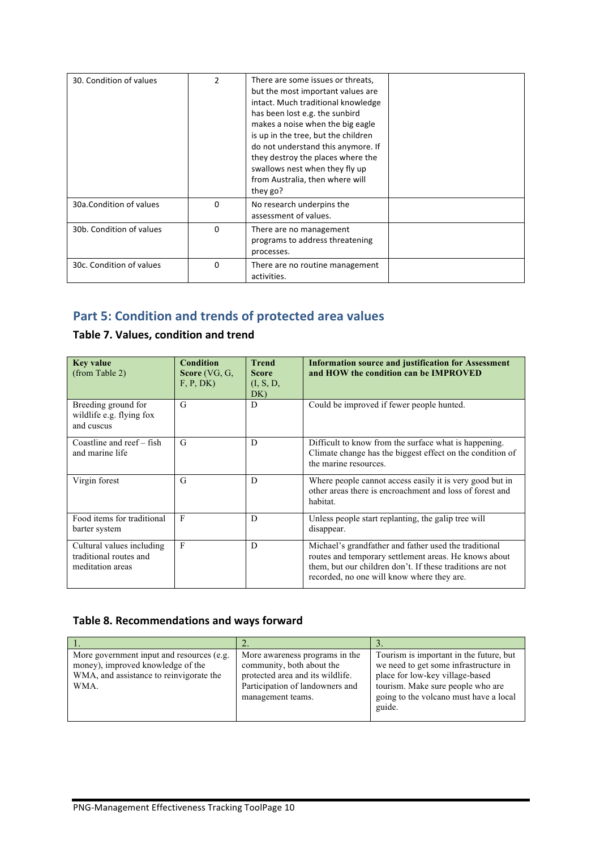| 30. Condition of values  | 2        | There are some issues or threats,<br>but the most important values are<br>intact. Much traditional knowledge<br>has been lost e.g. the sunbird<br>makes a noise when the big eagle<br>is up in the tree, but the children<br>do not understand this anymore. If<br>they destroy the places where the<br>swallows nest when they fly up<br>from Australia, then where will<br>they go? |  |
|--------------------------|----------|---------------------------------------------------------------------------------------------------------------------------------------------------------------------------------------------------------------------------------------------------------------------------------------------------------------------------------------------------------------------------------------|--|
| 30a.Condition of values  | 0        | No research underpins the<br>assessment of values.                                                                                                                                                                                                                                                                                                                                    |  |
| 30b. Condition of values | 0        | There are no management<br>programs to address threatening<br>processes.                                                                                                                                                                                                                                                                                                              |  |
| 30c. Condition of values | $\Omega$ | There are no routine management<br>activities.                                                                                                                                                                                                                                                                                                                                        |  |

# Part 5: Condition and trends of protected area values

#### **Table 7. Values, condition and trend**

| <b>Key value</b><br>(from Table 2)                                      | <b>Condition</b><br>Score $(VG, G,$<br>F, P, DK) | <b>Trend</b><br><b>Score</b><br>(I, S, D,<br>DK) | <b>Information source and justification for Assessment</b><br>and HOW the condition can be IMPROVED                                                                                                                       |
|-------------------------------------------------------------------------|--------------------------------------------------|--------------------------------------------------|---------------------------------------------------------------------------------------------------------------------------------------------------------------------------------------------------------------------------|
| Breeding ground for<br>wildlife e.g. flying fox<br>and cuscus           | G                                                | D                                                | Could be improved if fewer people hunted.                                                                                                                                                                                 |
| Coastline and reef – fish<br>and marine life                            | G                                                | D                                                | Difficult to know from the surface what is happening.<br>Climate change has the biggest effect on the condition of<br>the marine resources.                                                                               |
| Virgin forest                                                           | G                                                | D                                                | Where people cannot access easily it is very good but in<br>other areas there is encroachment and loss of forest and<br>habitat.                                                                                          |
| Food items for traditional<br>barter system                             | F                                                | D                                                | Unless people start replanting, the galip tree will<br>disappear.                                                                                                                                                         |
| Cultural values including<br>traditional routes and<br>meditation areas | $\mathbf{F}$                                     | D                                                | Michael's grandfather and father used the traditional<br>routes and temporary settlement areas. He knows about<br>them, but our children don't. If these traditions are not<br>recorded, no one will know where they are. |

#### Table 8. Recommendations and ways forward

| More government input and resources (e.g.<br>money), improved knowledge of the<br>WMA, and assistance to reinvigorate the<br>WMA. | More awareness programs in the<br>community, both about the<br>protected area and its wildlife.<br>Participation of landowners and<br>management teams. | Tourism is important in the future, but<br>we need to get some infrastructure in<br>place for low-key village-based<br>tourism. Make sure people who are<br>going to the volcano must have a local<br>guide. |
|-----------------------------------------------------------------------------------------------------------------------------------|---------------------------------------------------------------------------------------------------------------------------------------------------------|--------------------------------------------------------------------------------------------------------------------------------------------------------------------------------------------------------------|